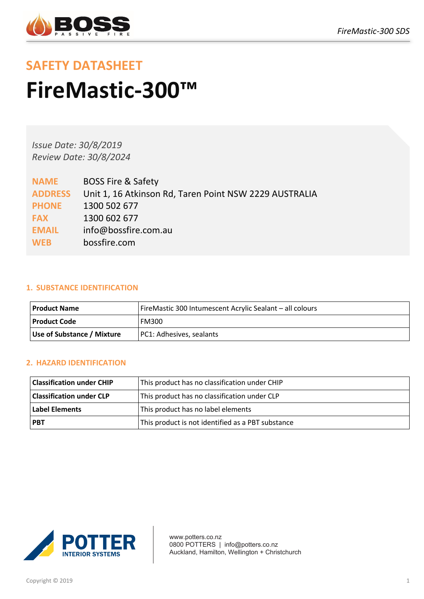

# **SAFETY DATASHEET FireMastic-300™**

*Issue Date: 30/8/2019 Review Date: 30/8/2024*

| <b>NAME</b>    | <b>BOSS Fire &amp; Safety</b>                          |
|----------------|--------------------------------------------------------|
| <b>ADDRESS</b> | Unit 1, 16 Atkinson Rd, Taren Point NSW 2229 AUSTRALIA |
| <b>PHONE</b>   | 1300 502 677                                           |
| <b>FAX</b>     | 1300 602 677                                           |
| <b>EMAIL</b>   | info@bossfire.com.au                                   |
| <b>WEB</b>     | bossfire.com                                           |
|                |                                                        |

#### **1. SUBSTANCE IDENTIFICATION**

| Product Name               | FireMastic 300 Intumescent Acrylic Sealant - all colours |
|----------------------------|----------------------------------------------------------|
| l Product Code             | <b>FM300</b>                                             |
| Use of Substance / Mixture | PC1: Adhesives, sealants                                 |

# **2. HAZARD IDENTIFICATION**

| <b>Classification under CHIP</b> | This product has no classification under CHIP     |
|----------------------------------|---------------------------------------------------|
| Classification under CLP         | This product has no classification under CLP      |
| <b>Label Elements</b>            | This product has no label elements                |
| <b>PBT</b>                       | This product is not identified as a PBT substance |



www.potters.co.nz 0800 POTTERS | info@potters.co.nz Auckland, Hamilton, Wellington + Christchurch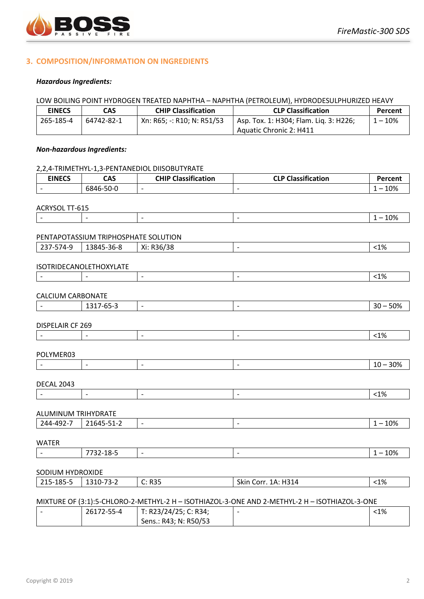

#### **3. COMPOSITION/INFORMATION ON INGREDIENTS**

#### *Hazardous Ingredients:*

#### LOW BOILING POINT HYDROGEN TREATED NAPHTHA – NAPHTHA (PETROLEUM), HYDRODESULPHURIZED HEAVY

| <b>EINECS</b> | CAS        | <b>CHIP Classification</b> | <b>CLP Classification</b>              | Percent   |
|---------------|------------|----------------------------|----------------------------------------|-----------|
| 265-185-4     | 64742-82-1 | Xn: R65; -: R10; N: R51/53 | Asp. Tox. 1: H304; Flam. Lig. 3: H226; | $1 - 10%$ |
|               |            |                            | Aquatic Chronic 2: H411                |           |

#### *Non-hazardous Ingredients:*

# 2,2,4-TRIMETHYL-1,3-PENTANEDIOL DIISOBUTYRATE **EINECS CAS CHIP Classification CLP Classification Percent** - | 6846-50-0 | - | - | - | - | - | 1 – 10% ACRYSOL TT-615 - - - - 1 – 10% PENTAPOTASSIUM TRIPHOSPHATE SOLUTION 237-574-9 13845-36-8 Xi: R36/38 - <1% ISOTRIDECANOLETHOXYLATE - - - - <1% CALCIUM CARBONATE - 1317-65-3 |- |- |- |- |- |- | 30 – 50% DISPELAIR CF 269 - - - - <1% POLYMER03 - - - - 10 – 30% DECAL 2043 - - - - <1% ALUMINUM TRIHYDRATE 244-492-7 21645-51-2 - - 1 – 10% WATER - 7732-18-5 - 1 – 10% SODIUM HYDROXIDE 215-185-5 1310-73-2 C: R35 Skin Corr. 1A: H314 <1% MIXTURE OF (3:1):5-CHLORO-2-METHYL-2 H – ISOTHIAZOL-3-ONE AND 2-METHYL-2 H – ISOTHIAZOL-3-ONE - 26172-55-4 T: R23/24/25; C: R34; - 2014 - 2021 - 2022 - 2022 - 2022 - 2022 - 2022 - 2022 - 2022 - 2022 - 2022 - 2022 - 2022 - 2022 - 2022 - 202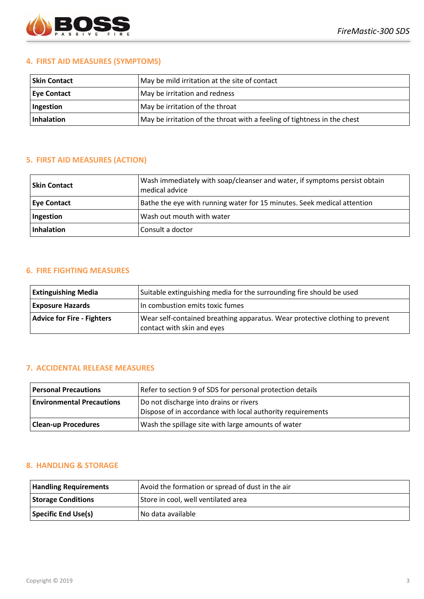

#### **4. FIRST AID MEASURES (SYMPTOMS)**

| <b>Skin Contact</b> | May be mild irritation at the site of contact                            |  |
|---------------------|--------------------------------------------------------------------------|--|
| <b>Eye Contact</b>  | May be irritation and redness                                            |  |
| Ingestion           | May be irritation of the throat                                          |  |
| Inhalation          | May be irritation of the throat with a feeling of tightness in the chest |  |

### **5. FIRST AID MEASURES (ACTION)**

| <b>Skin Contact</b> | Wash immediately with soap/cleanser and water, if symptoms persist obtain<br>medical advice |
|---------------------|---------------------------------------------------------------------------------------------|
| <b>Eye Contact</b>  | Bathe the eye with running water for 15 minutes. Seek medical attention                     |
| Ingestion           | Wash out mouth with water                                                                   |
| <b>Inhalation</b>   | Consult a doctor                                                                            |

# **6. FIRE FIGHTING MEASURES**

| <b>Extinguishing Media</b>        | Suitable extinguishing media for the surrounding fire should be used                                       |
|-----------------------------------|------------------------------------------------------------------------------------------------------------|
| <b>Exposure Hazards</b>           | In combustion emits toxic fumes                                                                            |
| <b>Advice for Fire - Fighters</b> | Wear self-contained breathing apparatus. Wear protective clothing to prevent<br>contact with skin and eyes |

#### **7. ACCIDENTAL RELEASE MEASURES**

| <b>Personal Precautions</b>      | Refer to section 9 of SDS for personal protection details                                            |
|----------------------------------|------------------------------------------------------------------------------------------------------|
| <b>Environmental Precautions</b> | Do not discharge into drains or rivers<br>Dispose of in accordance with local authority requirements |
| <b>Clean-up Procedures</b>       | Wash the spillage site with large amounts of water                                                   |

#### **8. HANDLING & STORAGE**

| <b>Handling Requirements</b> | Avoid the formation or spread of dust in the air |
|------------------------------|--------------------------------------------------|
| <b>Storage Conditions</b>    | Store in cool, well ventilated area              |
| Specific End Use(s)          | No data available                                |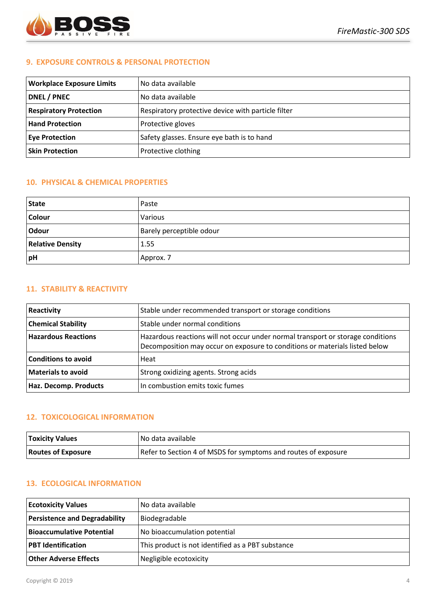

#### **9. EXPOSURE CONTROLS & PERSONAL PROTECTION**

| <b>Workplace Exposure Limits</b> | No data available                                  |
|----------------------------------|----------------------------------------------------|
| <b>DNEL / PNEC</b>               | No data available                                  |
| <b>Respiratory Protection</b>    | Respiratory protective device with particle filter |
| <b>Hand Protection</b>           | Protective gloves                                  |
| <b>Eye Protection</b>            | Safety glasses. Ensure eye bath is to hand         |
| <b>Skin Protection</b>           | Protective clothing                                |

#### **10. PHYSICAL & CHEMICAL PROPERTIES**

| <b>State</b>            | Paste                    |
|-------------------------|--------------------------|
| <b>Colour</b>           | Various                  |
| Odour                   | Barely perceptible odour |
| <b>Relative Density</b> | 1.55                     |
| pH                      | Approx. 7                |

#### **11. STABILITY & REACTIVITY**

| Reactivity                 | Stable under recommended transport or storage conditions                                                                                                       |
|----------------------------|----------------------------------------------------------------------------------------------------------------------------------------------------------------|
| <b>Chemical Stability</b>  | Stable under normal conditions                                                                                                                                 |
| <b>Hazardous Reactions</b> | Hazardous reactions will not occur under normal transport or storage conditions<br>Decomposition may occur on exposure to conditions or materials listed below |
| <b>Conditions to avoid</b> | Heat                                                                                                                                                           |
| <b>Materials to avoid</b>  | Strong oxidizing agents. Strong acids                                                                                                                          |
| Haz. Decomp. Products      | In combustion emits toxic fumes                                                                                                                                |

## **12. TOXICOLOGICAL INFORMATION**

| <b>Toxicity Values</b>    | No data available                                              |
|---------------------------|----------------------------------------------------------------|
| <b>Routes of Exposure</b> | Refer to Section 4 of MSDS for symptoms and routes of exposure |

#### **13. ECOLOGICAL INFORMATION**

| <b>Ecotoxicity Values</b>            | No data available                                 |  |
|--------------------------------------|---------------------------------------------------|--|
| <b>Persistence and Degradability</b> | Biodegradable                                     |  |
| <b>Bioaccumulative Potential</b>     | No bioaccumulation potential                      |  |
| <b>PBT</b> Identification            | This product is not identified as a PBT substance |  |
| <b>Other Adverse Effects</b>         | Negligible ecotoxicity                            |  |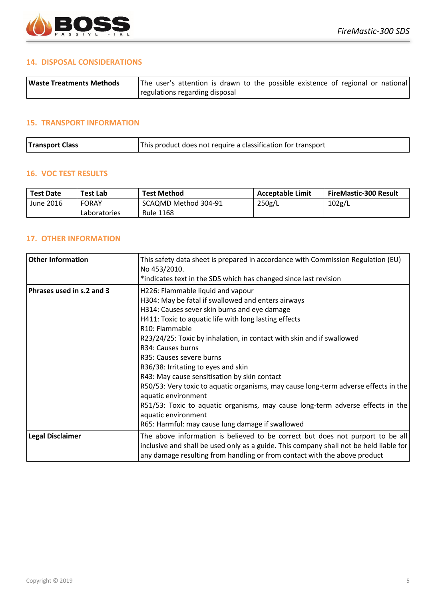

#### **14. DISPOSAL CONSIDERATIONS**

| <b>Waste Treatments Methods</b> | The user's attention is drawn to the possible existence of regional or national |  |  |  |  |  |
|---------------------------------|---------------------------------------------------------------------------------|--|--|--|--|--|
|                                 | regulations regarding disposal                                                  |  |  |  |  |  |

#### **15. TRANSPORT INFORMATION**

| This product does not require a classification for transport<br><b>Transport Class</b> |
|----------------------------------------------------------------------------------------|
|----------------------------------------------------------------------------------------|

#### **16. VOC TEST RESULTS**

| <b>Test Date</b> | Test Lab     | Test Method          | <b>Acceptable Limit</b> | <b>FireMastic-300 Result</b> |  |  |
|------------------|--------------|----------------------|-------------------------|------------------------------|--|--|
| June 2016        | <b>FORAY</b> | SCAQMD Method 304-91 | 250g/L                  | 102g/L                       |  |  |
|                  | Laboratories | <b>Rule 1168</b>     |                         |                              |  |  |

## **17. OTHER INFORMATION**

| <b>Other Information</b>  | This safety data sheet is prepared in accordance with Commission Regulation (EU)<br>No 453/2010.                                                                                                                                                      |
|---------------------------|-------------------------------------------------------------------------------------------------------------------------------------------------------------------------------------------------------------------------------------------------------|
|                           | *indicates text in the SDS which has changed since last revision                                                                                                                                                                                      |
| Phrases used in s.2 and 3 | H226: Flammable liquid and vapour                                                                                                                                                                                                                     |
|                           | H304: May be fatal if swallowed and enters airways                                                                                                                                                                                                    |
|                           | H314: Causes sever skin burns and eye damage                                                                                                                                                                                                          |
|                           | H411: Toxic to aquatic life with long lasting effects                                                                                                                                                                                                 |
|                           | R <sub>10</sub> : Flammable                                                                                                                                                                                                                           |
|                           | R23/24/25: Toxic by inhalation, in contact with skin and if swallowed                                                                                                                                                                                 |
|                           | R34: Causes burns                                                                                                                                                                                                                                     |
|                           | R35: Causes severe burns                                                                                                                                                                                                                              |
|                           | R36/38: Irritating to eyes and skin                                                                                                                                                                                                                   |
|                           | R43: May cause sensitisation by skin contact                                                                                                                                                                                                          |
|                           | R50/53: Very toxic to aquatic organisms, may cause long-term adverse effects in the<br>aquatic environment                                                                                                                                            |
|                           | R51/53: Toxic to aquatic organisms, may cause long-term adverse effects in the<br>aquatic environment                                                                                                                                                 |
|                           | R65: Harmful: may cause lung damage if swallowed                                                                                                                                                                                                      |
| <b>Legal Disclaimer</b>   | The above information is believed to be correct but does not purport to be all<br>inclusive and shall be used only as a guide. This company shall not be held liable for<br>any damage resulting from handling or from contact with the above product |